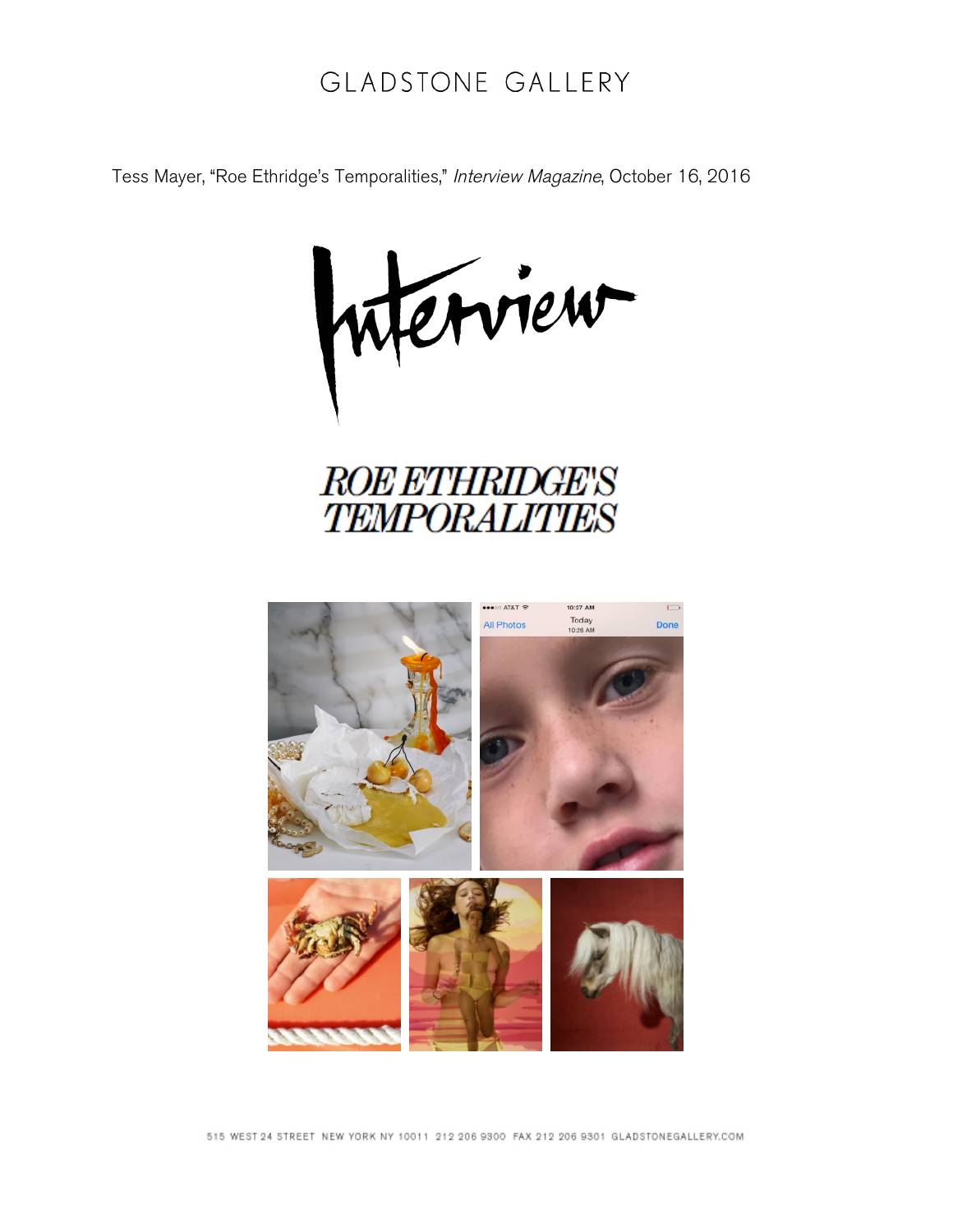## GLADSTONE GALLERY

Tess Mayer, "Roe Ethridge's Temporalities," Interview Magazine, October 16, 2016

iterview



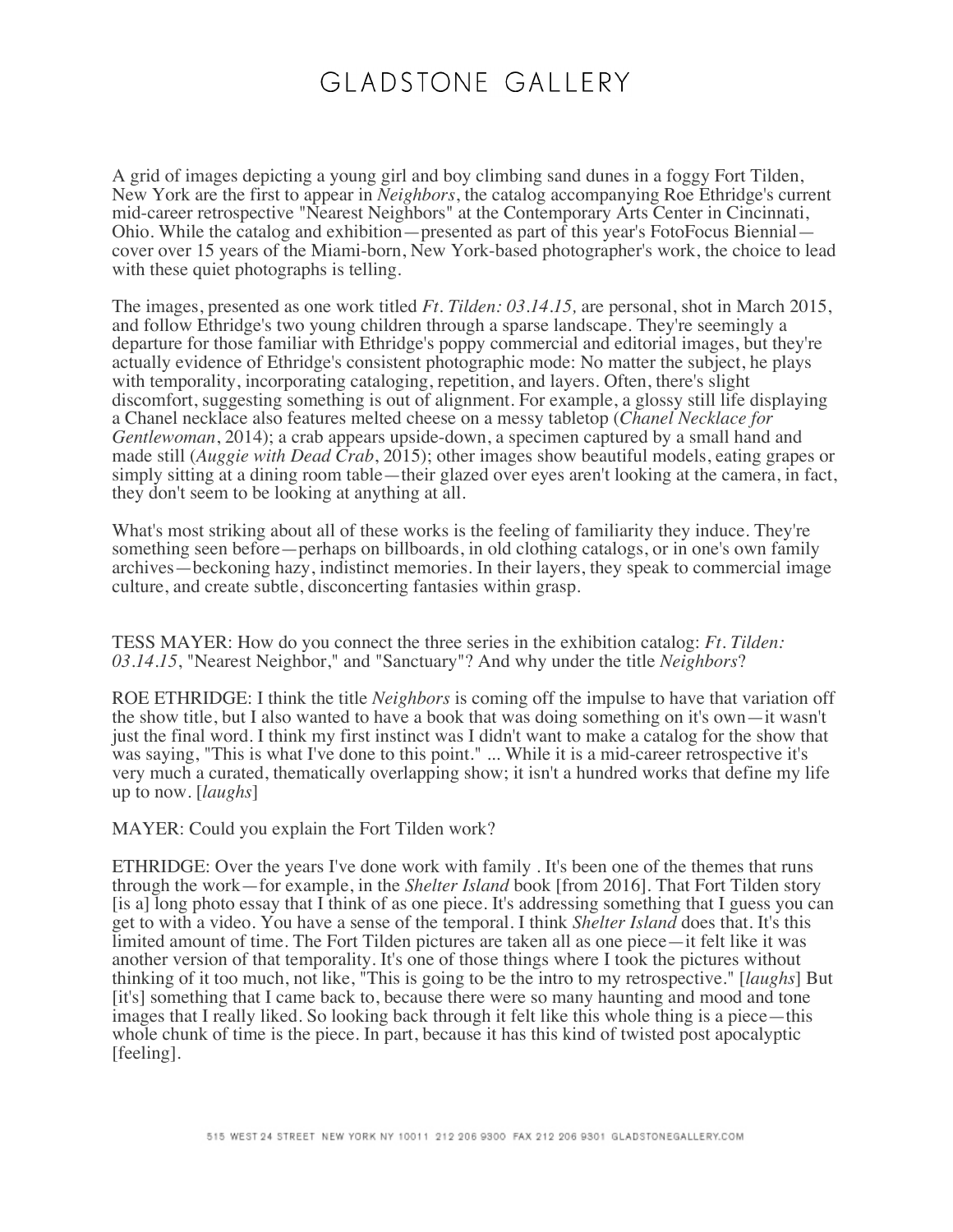## GLADSTONE GALLERY

A grid of images depicting a young girl and boy climbing sand dunes in a foggy Fort Tilden, New York are the first to appear in *Neighbors*, the catalog accompanying Roe Ethridge's current mid-career retrospective "Nearest Neighbors" at the Contemporary Arts Center in Cincinnati, Ohio. While the catalog and exhibition—presented as part of this year's FotoFocus Biennial cover over 15 years of the Miami-born, New York-based photographer's work, the choice to lead with these quiet photographs is telling.

The images, presented as one work titled *Ft. Tilden: 03.14.15,* are personal, shot in March 2015, and follow Ethridge's two young children through a sparse landscape. They're seemingly a departure for those familiar with Ethridge's poppy commercial and editorial images, but they're actually evidence of Ethridge's consistent photographic mode: No matter the subject, he plays with temporality, incorporating cataloging, repetition, and layers. Often, there's slight discomfort, suggesting something is out of alignment. For example, a glossy still life displaying a Chanel necklace also features melted cheese on a messy tabletop (*Chanel Necklace for Gentlewoman*, 2014); a crab appears upside-down, a specimen captured by a small hand and made still (*Auggie with Dead Crab*, 2015); other images show beautiful models, eating grapes or simply sitting at a dining room table—their glazed over eyes aren't looking at the camera, in fact, they don't seem to be looking at anything at all.

What's most striking about all of these works is the feeling of familiarity they induce. They're something seen before—perhaps on billboards, in old clothing catalogs, or in one's own family archives—beckoning hazy, indistinct memories. In their layers, they speak to commercial image culture, and create subtle, disconcerting fantasies within grasp.

TESS MAYER: How do you connect the three series in the exhibition catalog: *Ft. Tilden: 03.14.15*, "Nearest Neighbor," and "Sanctuary"? And why under the title *Neighbors*?

ROE ETHRIDGE: I think the title *Neighbors* is coming off the impulse to have that variation off the show title, but I also wanted to have a book that was doing something on it's own—it wasn't just the final word. I think my first instinct was I didn't want to make a catalog for the show that was saying, "This is what I've done to this point." ... While it is a mid-career retrospective it's very much a curated, thematically overlapping show; it isn't a hundred works that define my life up to now. [*laughs*]

MAYER: Could you explain the Fort Tilden work?

ETHRIDGE: Over the years I've done work with family . It's been one of the themes that runs through the work—for example, in the *Shelter Island* book [from 2016]. That Fort Tilden story [is a] long photo essay that I think of as one piece. It's addressing something that I guess you can get to with a video. You have a sense of the temporal. I think *Shelter Island* does that. It's this limited amount of time. The Fort Tilden pictures are taken all as one piece—it felt like it was another version of that temporality. It's one of those things where I took the pictures without thinking of it too much, not like, "This is going to be the intro to my retrospective." [*laughs*] But [it's] something that I came back to, because there were so many haunting and mood and tone images that I really liked. So looking back through it felt like this whole thing is a piece—this whole chunk of time is the piece. In part, because it has this kind of twisted post apocalyptic [feeling].